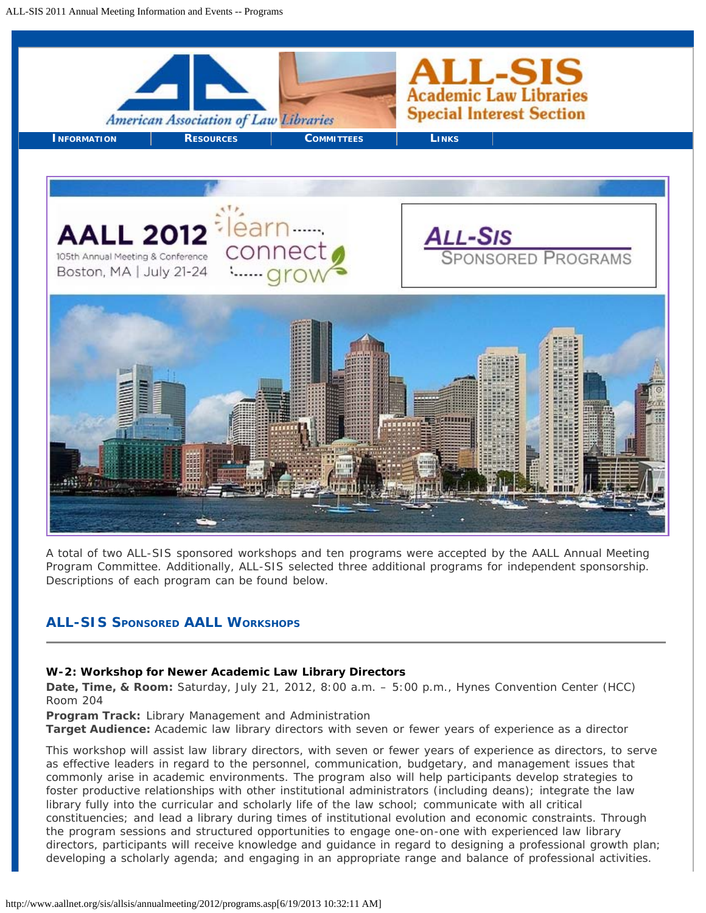

A total of two ALL-SIS sponsored workshops and ten programs were accepted by the AALL Annual Meeting Program Committee. Additionally, ALL-SIS selected three additional programs for independent sponsorship. Descriptions of each program can be found below.

# **ALL-SIS SPONSORED AALL WORKSHOPS**

#### **W-2: Workshop for Newer Academic Law Library Directors**

**Date, Time, & Room:** Saturday, July 21, 2012, 8:00 a.m. – 5:00 p.m., Hynes Convention Center (HCC) Room 204

**Program Track:** Library Management and Administration

**Target Audience:** Academic law library directors with seven or fewer years of experience as a director

This workshop will assist law library directors, with seven or fewer years of experience as directors, to serve as effective leaders in regard to the personnel, communication, budgetary, and management issues that commonly arise in academic environments. The program also will help participants develop strategies to foster productive relationships with other institutional administrators (including deans); integrate the law library fully into the curricular and scholarly life of the law school; communicate with all critical constituencies; and lead a library during times of institutional evolution and economic constraints. Through the program sessions and structured opportunities to engage one-on-one with experienced law library directors, participants will receive knowledge and guidance in regard to designing a professional growth plan; developing a scholarly agenda; and engaging in an appropriate range and balance of professional activities.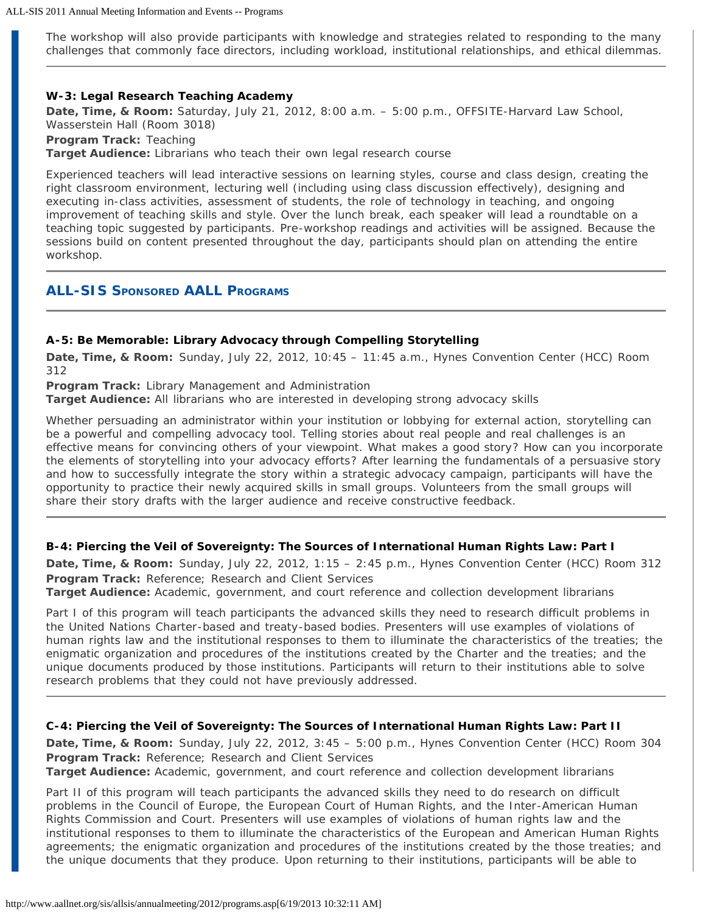The workshop will also provide participants with knowledge and strategies related to responding to the many challenges that commonly face directors, including workload, institutional relationships, and ethical dilemmas.

#### **W-3: Legal Research Teaching Academy**

**Date, Time, & Room:** Saturday, July 21, 2012, 8:00 a.m. – 5:00 p.m., OFFSITE-Harvard Law School, Wasserstein Hall (Room 3018) **Program Track:** Teaching **Target Audience:** Librarians who teach their own legal research course

Experienced teachers will lead interactive sessions on learning styles, course and class design, creating the right classroom environment, lecturing well (including using class discussion effectively), designing and executing in-class activities, assessment of students, the role of technology in teaching, and ongoing improvement of teaching skills and style. Over the lunch break, each speaker will lead a roundtable on a teaching topic suggested by participants. Pre-workshop readings and activities will be assigned. Because the sessions build on content presented throughout the day, participants should plan on attending the entire workshop.

# **ALL-SIS SPONSORED AALL PROGRAMS**

### **A-5: Be Memorable: Library Advocacy through Compelling Storytelling**

**Date, Time, & Room:** Sunday, July 22, 2012, 10:45 – 11:45 a.m., Hynes Convention Center (HCC) Room 312

**Program Track:** Library Management and Administration

**Target Audience:** All librarians who are interested in developing strong advocacy skills

Whether persuading an administrator within your institution or lobbying for external action, storytelling can be a powerful and compelling advocacy tool. Telling stories about real people and real challenges is an effective means for convincing others of your viewpoint. What makes a good story? How can you incorporate the elements of storytelling into your advocacy efforts? After learning the fundamentals of a persuasive story and how to successfully integrate the story within a strategic advocacy campaign, participants will have the opportunity to practice their newly acquired skills in small groups. Volunteers from the small groups will share their story drafts with the larger audience and receive constructive feedback.

#### **B-4: Piercing the Veil of Sovereignty: The Sources of International Human Rights Law: Part I**

**Date, Time, & Room:** Sunday, July 22, 2012, 1:15 – 2:45 p.m., Hynes Convention Center (HCC) Room 312 **Program Track:** Reference; Research and Client Services

**Target Audience:** Academic, government, and court reference and collection development librarians

Part I of this program will teach participants the advanced skills they need to research difficult problems in the United Nations Charter-based and treaty-based bodies. Presenters will use examples of violations of human rights law and the institutional responses to them to illuminate the characteristics of the treaties; the enigmatic organization and procedures of the institutions created by the Charter and the treaties; and the unique documents produced by those institutions. Participants will return to their institutions able to solve research problems that they could not have previously addressed.

#### **C-4: Piercing the Veil of Sovereignty: The Sources of International Human Rights Law: Part II**

**Date, Time, & Room:** Sunday, July 22, 2012, 3:45 – 5:00 p.m., Hynes Convention Center (HCC) Room 304 **Program Track:** Reference; Research and Client Services **Target Audience:** Academic, government, and court reference and collection development librarians

Part II of this program will teach participants the advanced skills they need to do research on difficult problems in the Council of Europe, the European Court of Human Rights, and the Inter-American Human Rights Commission and Court. Presenters will use examples of violations of human rights law and the institutional responses to them to illuminate the characteristics of the European and American Human Rights agreements; the enigmatic organization and procedures of the institutions created by the those treaties; and the unique documents that they produce. Upon returning to their institutions, participants will be able to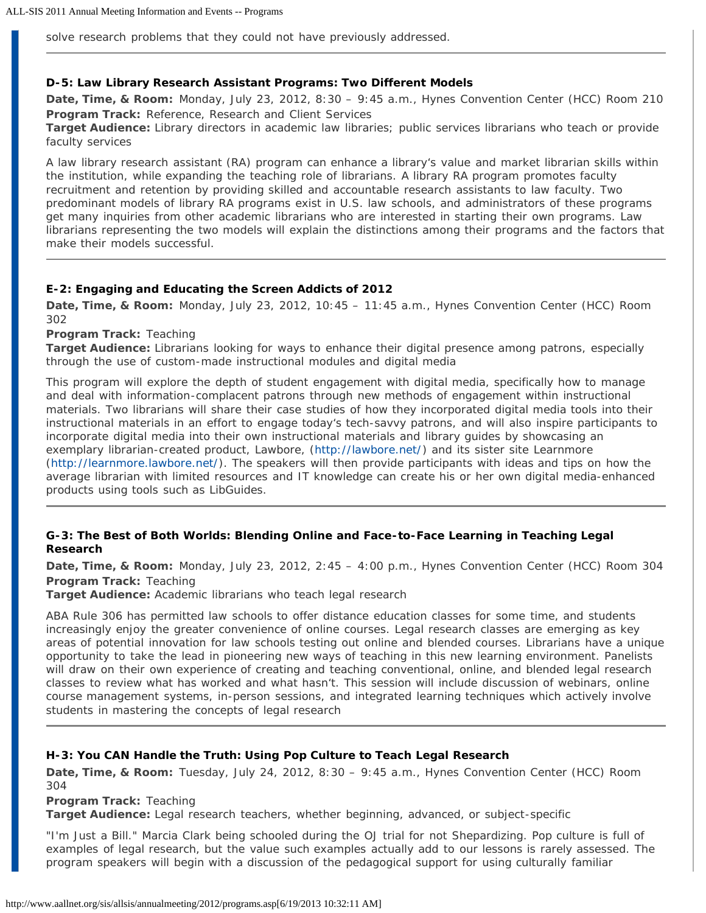solve research problems that they could not have previously addressed.

#### **D-5: Law Library Research Assistant Programs: Two Different Models**

**Date, Time, & Room:** Monday, July 23, 2012, 8:30 – 9:45 a.m., Hynes Convention Center (HCC) Room 210 **Program Track:** Reference, Research and Client Services **Target Audience:** Library directors in academic law libraries; public services librarians who teach or provide

faculty services

A law library research assistant (RA) program can enhance a library's value and market librarian skills within the institution, while expanding the teaching role of librarians. A library RA program promotes faculty recruitment and retention by providing skilled and accountable research assistants to law faculty. Two predominant models of library RA programs exist in U.S. law schools, and administrators of these programs get many inquiries from other academic librarians who are interested in starting their own programs. Law librarians representing the two models will explain the distinctions among their programs and the factors that make their models successful.

#### **E-2: Engaging and Educating the Screen Addicts of 2012**

**Date, Time, & Room:** Monday, July 23, 2012, 10:45 – 11:45 a.m., Hynes Convention Center (HCC) Room 302

**Program Track:** Teaching

**Target Audience:** Librarians looking for ways to enhance their digital presence among patrons, especially through the use of custom-made instructional modules and digital media

This program will explore the depth of student engagement with digital media, specifically how to manage and deal with information-complacent patrons through new methods of engagement within instructional materials. Two librarians will share their case studies of how they incorporated digital media tools into their instructional materials in an effort to engage today's tech-savvy patrons, and will also inspire participants to incorporate digital media into their own instructional materials and library guides by showcasing an exemplary librarian-created product, Lawbore, ([http://lawbore.net/\)](http://lawbore.net/) and its sister site Learnmore [\(http://learnmore.lawbore.net/](http://learnmore.lawbore.net/)). The speakers will then provide participants with ideas and tips on how the average librarian with limited resources and IT knowledge can create his or her own digital media-enhanced products using tools such as LibGuides.

#### **G-3: The Best of Both Worlds: Blending Online and Face-to-Face Learning in Teaching Legal Research**

**Date, Time, & Room:** Monday, July 23, 2012, 2:45 – 4:00 p.m., Hynes Convention Center (HCC) Room 304 **Program Track:** Teaching

**Target Audience:** Academic librarians who teach legal research

ABA Rule 306 has permitted law schools to offer distance education classes for some time, and students increasingly enjoy the greater convenience of online courses. Legal research classes are emerging as key areas of potential innovation for law schools testing out online and blended courses. Librarians have a unique opportunity to take the lead in pioneering new ways of teaching in this new learning environment. Panelists will draw on their own experience of creating and teaching conventional, online, and blended legal research classes to review what has worked and what hasn't. This session will include discussion of webinars, online course management systems, in-person sessions, and integrated learning techniques which actively involve students in mastering the concepts of legal research

#### **H-3: You CAN Handle the Truth: Using Pop Culture to Teach Legal Research**

**Date, Time, & Room:** Tuesday, July 24, 2012, 8:30 – 9:45 a.m., Hynes Convention Center (HCC) Room 304

**Program Track:** Teaching

**Target Audience:** Legal research teachers, whether beginning, advanced, or subject-specific

"I'm Just a Bill." Marcia Clark being schooled during the OJ trial for not Shepardizing. Pop culture is full of examples of legal research, but the value such examples actually add to our lessons is rarely assessed. The program speakers will begin with a discussion of the pedagogical support for using culturally familiar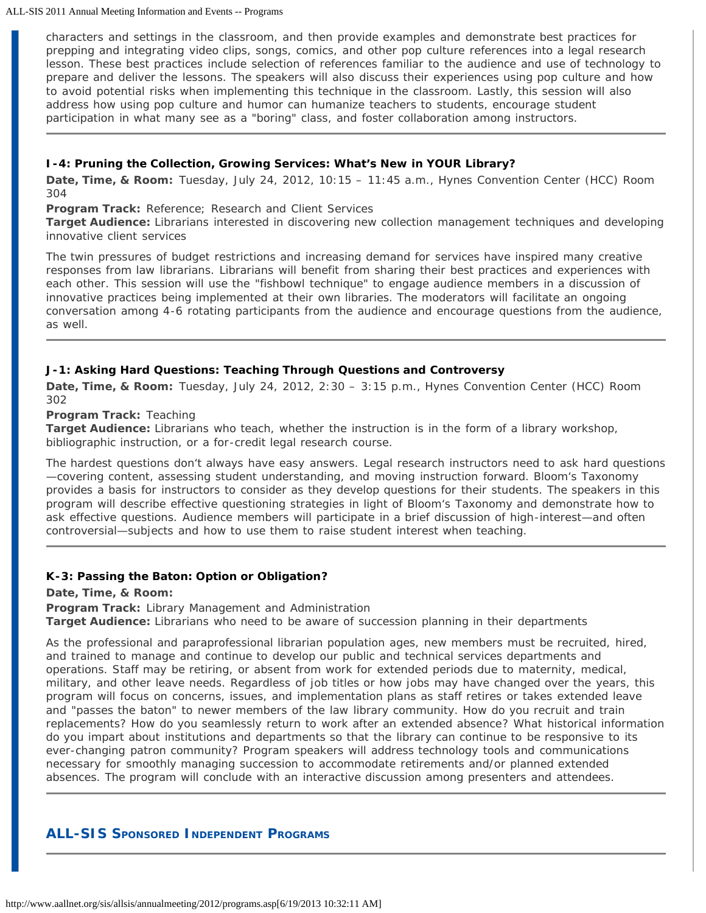ALL-SIS 2011 Annual Meeting Information and Events -- Programs

characters and settings in the classroom, and then provide examples and demonstrate best practices for prepping and integrating video clips, songs, comics, and other pop culture references into a legal research lesson. These best practices include selection of references familiar to the audience and use of technology to prepare and deliver the lessons. The speakers will also discuss their experiences using pop culture and how to avoid potential risks when implementing this technique in the classroom. Lastly, this session will also address how using pop culture and humor can humanize teachers to students, encourage student participation in what many see as a "boring" class, and foster collaboration among instructors.

### **I-4: Pruning the Collection, Growing Services: What's New in YOUR Library?**

**Date, Time, & Room:** Tuesday, July 24, 2012, 10:15 – 11:45 a.m., Hynes Convention Center (HCC) Room 304

**Program Track:** Reference; Research and Client Services

**Target Audience:** Librarians interested in discovering new collection management techniques and developing innovative client services

The twin pressures of budget restrictions and increasing demand for services have inspired many creative responses from law librarians. Librarians will benefit from sharing their best practices and experiences with each other. This session will use the "fishbowl technique" to engage audience members in a discussion of innovative practices being implemented at their own libraries. The moderators will facilitate an ongoing conversation among 4-6 rotating participants from the audience and encourage questions from the audience, as well.

## **J-1: Asking Hard Questions: Teaching Through Questions and Controversy**

**Date, Time, & Room:** Tuesday, July 24, 2012, 2:30 – 3:15 p.m., Hynes Convention Center (HCC) Room 302

#### **Program Track:** Teaching

**Target Audience:** Librarians who teach, whether the instruction is in the form of a library workshop, bibliographic instruction, or a for-credit legal research course.

The hardest questions don't always have easy answers. Legal research instructors need to ask hard questions —covering content, assessing student understanding, and moving instruction forward. Bloom's Taxonomy provides a basis for instructors to consider as they develop questions for their students. The speakers in this program will describe effective questioning strategies in light of Bloom's Taxonomy and demonstrate how to ask effective questions. Audience members will participate in a brief discussion of high-interest—and often controversial—subjects and how to use them to raise student interest when teaching.

## **K-3: Passing the Baton: Option or Obligation?**

**Date, Time, & Room:**

**Program Track:** Library Management and Administration **Target Audience:** Librarians who need to be aware of succession planning in their departments

As the professional and paraprofessional librarian population ages, new members must be recruited, hired, and trained to manage and continue to develop our public and technical services departments and operations. Staff may be retiring, or absent from work for extended periods due to maternity, medical, military, and other leave needs. Regardless of job titles or how jobs may have changed over the years, this program will focus on concerns, issues, and implementation plans as staff retires or takes extended leave and "passes the baton" to newer members of the law library community. How do you recruit and train replacements? How do you seamlessly return to work after an extended absence? What historical information do you impart about institutions and departments so that the library can continue to be responsive to its ever-changing patron community? Program speakers will address technology tools and communications necessary for smoothly managing succession to accommodate retirements and/or planned extended absences. The program will conclude with an interactive discussion among presenters and attendees.

# **ALL-SIS SPONSORED INDEPENDENT PROGRAMS**